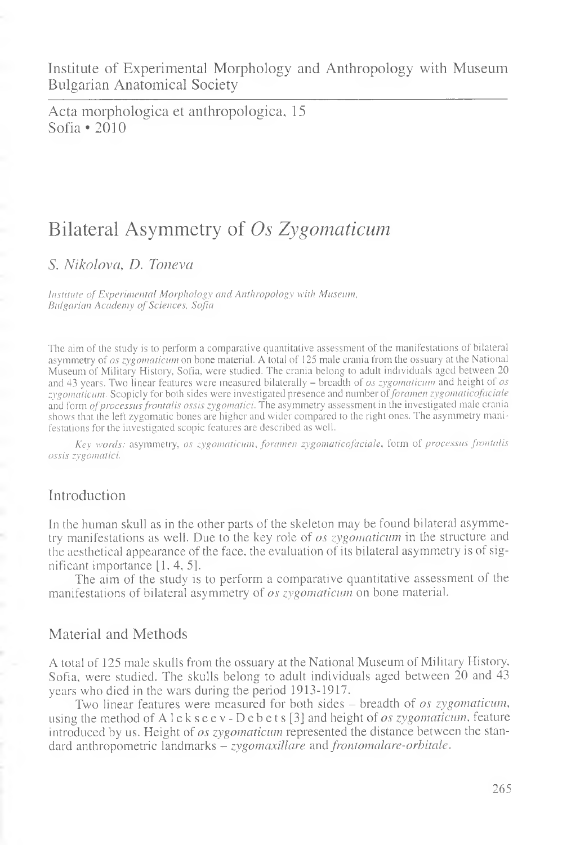Institute of Experimental Morphology and Anthropology with Museum Bulgarian Anatomical Society

Acta morphologica et anthropologica, 15 Sofia \*2010

# Bilateral Asymmetry of *Os Zygomaticum*

*S. Nikolova, D. Toneva*

*Institute of Experimental Morphology and Anthropology with Museum, Bulgarian Academy of Sciences, Sofia*

The aim of the study is to perform a comparative quantitative assessment of the manifestations of bilateral asymmetry of *os zygomaticum* on bone material. A total of 125 male crania from the ossuary at the National Museum of Military History, Sofia, were studied. The crania belong to adult individuals aged between 20 and 43 years. Two linear features were measured bilaterally - breadth of *os zygomaticum* and height of *os zygomaticum.* Scopicly for both sides were investigated presence and number of *foramen zygomaticofaciale* and form *of processus frontalis ossis zygomatici.* The asymmetry assessment in the investigated male crania shows that the left zygomatic bones are higher and wider compared to the right ones. The asymmetry manifestations for the investigated scopic features are described as well.

*Key words:* asymmetry, *os zygomaticum*, *foramen zygomaticofaciale,* form of *processus frontalis ossis zygomatici.*

## Introduction

In the human skull as in the other parts of the skeleton may be found bilateral asymmetry manifestations as well. Due to the key role of *os zygomaticum* in the structure and the aesthetical appearance of the face, the evaluation of its bilateral asymmetry is of significant importance [1, 4, 5].

The aim of the study is to perform a comparative quantitative assessment of the manifestations of bilateral asymmetry of *os zygomaticum* on bone material.

## Material and Methods

A total of 125 male skulls from the ossuary at the National Museum of Military History, Sofia, were studied. The skulls belong to adult individuals aged between 20 and 43 years who died in the wars during the period 1913-1917.

Two linear features were measured for both sides - breadth of *os zygomaticum,* using the method ofAlekseev-Debets[3] and height of *os zygomaticum*, feature introduced by us. Height of *os zygomaticum* represented the distance between the standard anthropometric landmarks - *zygomaxillare* and *frontomalare-orbitale.*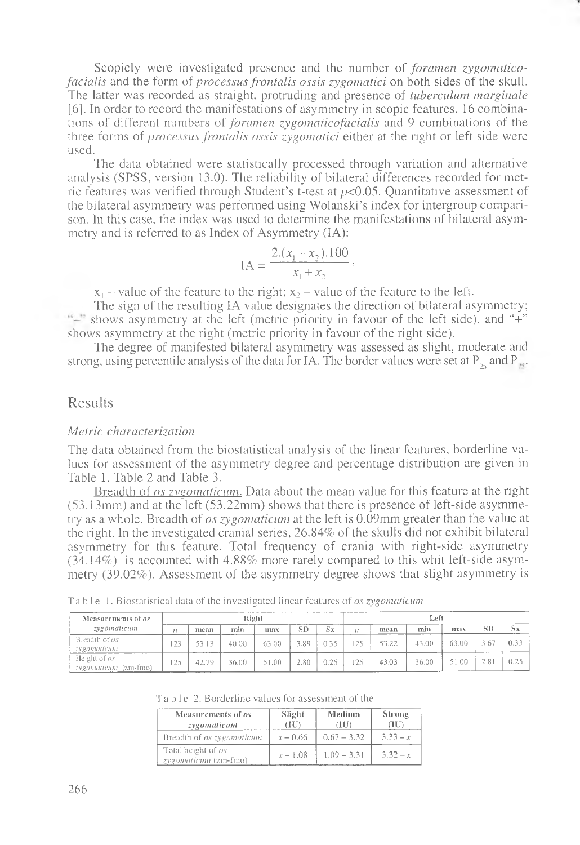Scopicly were investigated presence and the number of *foramen zygomaticofacialis* and the form of *processus frontalis ossis zygomatici* on both sides of the skull. The latter was recorded as straight, protruding and presence of *tuberculum marginale* [6]. In order to record the manifestations of asymmetry in scopic features, 16 combinations of different numbers of *foramen zygomaticofacialis* and 9 combinations of the three forms of *processus frontalis ossis zygomatici* either at the right or left side were used.

The data obtained were statistically processed through variation and alternative analysis (SPSS, version 13.0). The reliability of bilateral differences recorded for metric features was verified through Student's t-test at *p<*0.05. Quantitative assessment of the bilateral asymmetry was performed using Wolanski's index for intergroup comparison. In this case, the index was used to determine the manifestations of bilateral asymmetry and is referred to as Index of Asymmetry (IA):

$$
IA = \frac{2.(x_1 - x_2).100}{x_1 + x_2},
$$

 $x_1$  – value of the feature to the right;  $x_2$  – value of the feature to the left.

The sign of the resulting IA value designates the direction of bilateral asymmetry; shows asymmetry at the left (metric priority in favour of the left side), and "+" shows asymmetry at the right (metric priority in favour of the right side).

The degree of manifested bilateral asymmetry was assessed as slight, moderate and strong, using percentile analysis of the data for IA. The border values were set at P<sub>25</sub> and P<sub>35</sub>.

### Results

#### *Metric characterization*

The data obtained from the biostatistical analysis of the linear features, borderline values for assessment of the asymmetry degree and percentage distribution are given in Table I, Table 2 and Table 3.

Breadth of *os zygomaticum.* Data about the mean value for this feature at the right (53.13mm) and at the left (53.22mm) shows that there is presence of left-side asymmetry as a whole. Breadth of *os zygomaticum* at the left is 0.09mm greater than the value at the right. In the investigated cranial series, 26.84% of the skulls did not exhibit bilateral asymmetry for this feature. Total frequency of crania with right-side asymmetry (34.14%) is accounted with 4.88% more rarely compared to this whit left-side asymmetry (39.02%). Assessment of the asymmetry degree shows that slight asymmetry is

| Measurements of <i>os</i>            |                  |       | Right |       |      |         | Left        |       |       |       |      |      |
|--------------------------------------|------------------|-------|-------|-------|------|---------|-------------|-------|-------|-------|------|------|
| zvgomaticum                          |                  | mean  | mm    | шах   | SD   | $S_{X}$ | $_{\prime}$ | шеап  | min   | max   | SD   | Sx   |
| Breadth of os<br><i>zygomaticum</i>  | 22               | 53.13 | 40.00 | 63.00 | 3.89 | 0.35    |             | 53.22 | 43.00 | 63.00 | 3.67 | 0.33 |
| Height of ox<br>cygomaticum (zm-fmo) | 75<br>$1 \leq 3$ | 42.79 | 36.00 | 51.00 | 2.80 | 0.25    | 75          | 43.03 | 36.00 | 51.00 | 2.81 | 0.25 |

Table 1. Biostatistical data of the investigated linear features of *os zygomaticum*

|  | Table 2. Borderline values for assessment of the |
|--|--------------------------------------------------|
|--|--------------------------------------------------|

| Measurements of <i>os</i><br>zygomaticum   | Slight<br>(III) | Medium<br>(HD | Strong<br>ŒU |
|--------------------------------------------|-----------------|---------------|--------------|
| Breadth of <i>os zygomaticum</i>           | $x - 0.66$      | $0.67 - 3.32$ | $3.33 - x$   |
| Total height of os<br>zygomaticum (zm-fmo) | $x - 1.08$      | $1.09 - 3.31$ | $3.32 - x$   |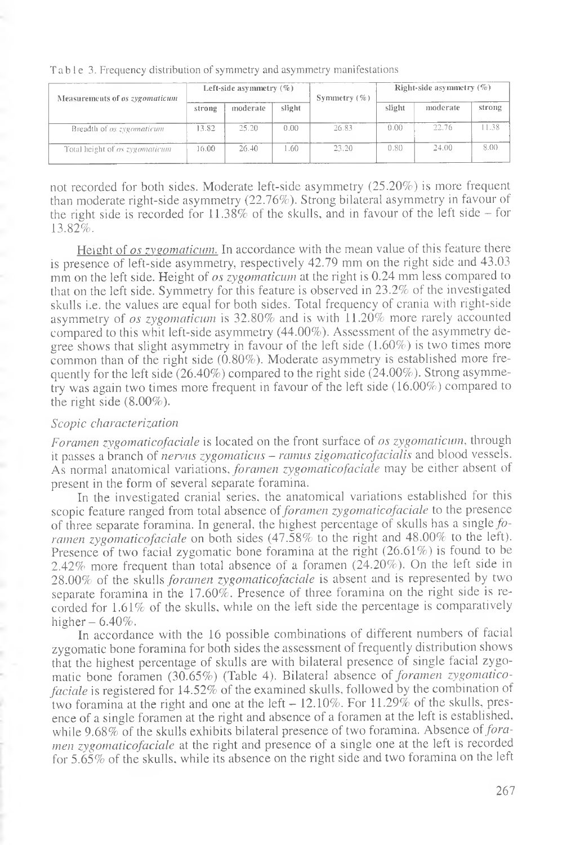| Measurements of <i>os zygomaticum</i> |        | Left-side asymmetry $(\% )$ |                  | Symmetry $(\% )$ | Right-side asymmetry $(\%)$ |          |        |
|---------------------------------------|--------|-----------------------------|------------------|------------------|-----------------------------|----------|--------|
|                                       | strong | moderate                    | slight           |                  | slight                      | moderate | strong |
| Breadth of <i>os zygomaticum</i>      | 13.82  | 25.20                       | 0.00             | 26.83            | 0.00                        | 22.76    | 1.38   |
| Total height of <i>os zygomaticum</i> | 16.00  | 26.40                       | .60 <sub>1</sub> | 23.20            | 0.80                        | 24.00    | 8.00   |

Table 3. Frequency distribution of symmetry and asymmetry manifestations

not recorded for both sides. Moderate left-side asymmetry (25.20%) is more frequent than moderate right-side asymmetry (22.76%). Strong bilateral asymmetry in favour of the right side is recorded for  $11.38\%$  of the skulls, and in favour of the left side  $-$  for 13.82%.

Height of *os zygomaticum*. In accordance with the mean value of this feature there is presence of left-side asymmetry, respectively 42.79 mm on the right side and 43.03 mm on the left side. Height of *os zygomaticum* at the right is 0.24 mm less compared to that on the left side. Symmetry for this feature is observed in 23.2% of the investigated skulls i.e. the values are equal for both sides. Total frequency of crania with right-side asymmetry of *os zygomaticum* is 32.80% and is with 11.20% more rarely accounted compared to this whit left-side asymmetry (44.00%). Assessment of the asymmetry degree shows that slight asymmetry in favour of the left side (1.60%) is two times more common than of the right side (0.80%). Moderate asymmetry is established more frequently for the left side (26.40%) compared to the right side (24.00%). Strong asymmetry was again two times more frequent in favour of the left side (16.00%) compared to the right side  $(8.00\%)$ .

#### *Scopic characterization*

*Foramen zygomaticofaciale* is located on the front surface of os *zygomaticum*, through it passes a branch of *nervus zygomaticus* - *ramus zigomaticofacialis* and blood vessels. As normal anatomical variations, *foramen zygomaticofacicile* may be either absent of present in the form of several separate foramina.

In the investigated cranial series, the anatomical variations established for this scopic feature ranged from total absence of *foramen zygomaticofaciale* to the presence of three separate foramina. In general, the highest percentage of skulls has a single *fo ramen zygomaticofaciale* on both sides (47.58% to the right and 48.00% to the left). Presence of two facial zygomatic bone foramina at the right (26.61%) is found to be 2.42% more frequent than total absence of a foramen (24.20%). On the left side in 28.00% of the skulls *foramen zygomaticofaciale* is absent and is represented by two separate foramina in the 17.60%. Presence of three foramina on the right side is recorded for 1.61% of the skulls, while on the left side the percentage is comparatively higher  $-6.40\%$ .

In accordance with the 16 possible combinations of different numbers of facial zygomatic bone foramina for both sides the assessment of frequently distribution shows that the highest percentage of skulls are with bilateral presence of single facial zygomatic bone foramen (30.65%) (Table 4). Bilateral absence of *foramen zygomaticofaciale* is registered for 14.52% of the examined skulls, followed by the combination of two foramina at the right and one at the left  $-12.10\%$ . For 11.29% of the skulls, presence of a single foramen at the right and absence of a foramen at the left is established, while 9.68% of the skulls exhibits bilateral presence of two foramina. Absence *of foramen zygomaticofaciale* at the right and presence of a single one at the left is recorded for 5.65% of the skulls, while its absence on the right side and two foramina on the left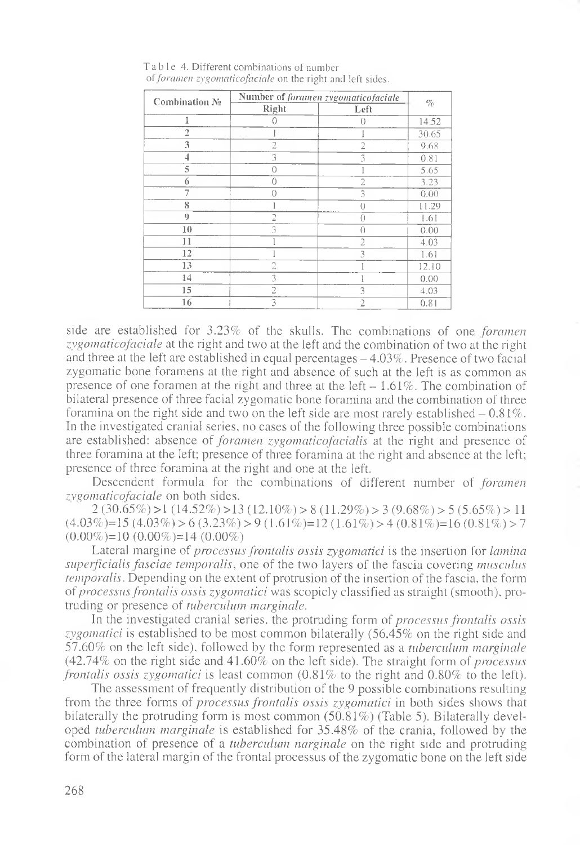| Combination No. | Number of foramen zygomaticofaciale | $\mathcal{O}_{\mathcal{O}}'$ |       |
|-----------------|-------------------------------------|------------------------------|-------|
|                 | Right                               | Left                         |       |
| I               | {}                                  | $\bigcap$                    | 14.52 |
| $\overline{a}$  |                                     |                              | 30.65 |
| 3               | 2                                   | $\overline{2}$               | 9.68  |
| 4               | 3                                   | 3                            | 0.81  |
| 5               | 0                                   |                              | 5.65  |
| 6               | 0                                   | $\overline{c}$               | 3.23  |
| 7               | Ω                                   | 3                            | 0.00  |
| 8               |                                     | $\left( \right)$             | 11.29 |
| 0               | 2                                   | 0                            | 1.61  |
| 10              | 3                                   | $\theta$                     | 0.00  |
| 11              |                                     | $\overline{2}$               | 4.03  |
| 12              |                                     | 3                            | 1.61  |
| 13              | 2                                   |                              | 12.10 |
| 14              | 3                                   |                              | 0.00  |
| 15              | $\overline{2}$                      | 3                            | 4.03  |
| 16              | 3                                   | $\overline{2}$               | 0.81  |

Table 4. Different combinations of number of *foramen* zyg*omaticofaciale* on the right and left sides.

side are established for 3.23% of the skulls. The combinations of one *foramen zygomaticofaciale* at the right and two at the left and the combination of two at the right and three at the left are established in equal percentages  $-4.03\%$ . Presence of two facial zygomatic bone foramens at the right and absence of such at the left is as common as presence of one foramen at the right and three at the left  $-1.61\%$ . The combination of bilateral presence of three facial zygomatic bone foramina and the combination of three foramina on the right side and two on the left side are most rarely established  $-0.81\%$ . In the investigated cranial series, no cases of the following three possible combinations are established: absence of *foramen zygomaticofacialis* at the right and presence of three foramina at the left; presence of three foramina at the right and absence at the left; presence of three foramina at the right and one at the left.

Descendent formula for the combinations of different number of *foramen zygomaticofaciale* on both sides.

 $2(30.65\%) >1(14.52\%) >13(12.10\%) > 8(11.29\%) > 3(9.68\%) > 5(5.65\%) > 11$  $(4.03\%)=15(4.03\%) > 6(3.23\%) > 9(1.61\%)=12(1.61\%) > 4(0.81\%) = 16(0.81\%) > 7$  $(0.00\%) = 10 (0.00\%) = 14 (0.00\%)$ 

Lateral margine of *processus frontalis ossis zygomatici* is the insertion for *lamina superficialis fasciae temporalis*, one of the two layers of the fascia covering *musculus temporalis.* Depending on the extent of protrusion of the insertion of the fascia, the form of *processus frontalis ossis zygomatici* was scopicly classified as straight (smooth), protruding or presence of *tuberculum marginale.*

In the investigated cranial series, the protruding form *of processus frontalis ossis zygomatici* is established to be most common bilaterally (56.45% on the right side and 57.60% on the left side), followed by the form represented as a *tuberculum marginale* (42.74% on the right side and 41.60% on the left side). The straight form of *processus frontalis ossis zygomatici* is least common  $(0.81\%$  to the right and  $0.80\%$  to the left).

The assessment of frequently distribution of the 9 possible combinations resulting from the three forms of *processus frontalis ossis zygomatici* in both sides shows that bilaterally the protruding form is most common (50.81%) (Table 5). Bilaterally developed *tuberculum marginale* is established for 35.48% of the crania, followed by the combination of presence of a *tuberculum narginale* on the right side and protruding form of the lateral margin of the frontal processus of the zygomatic bone on the left side